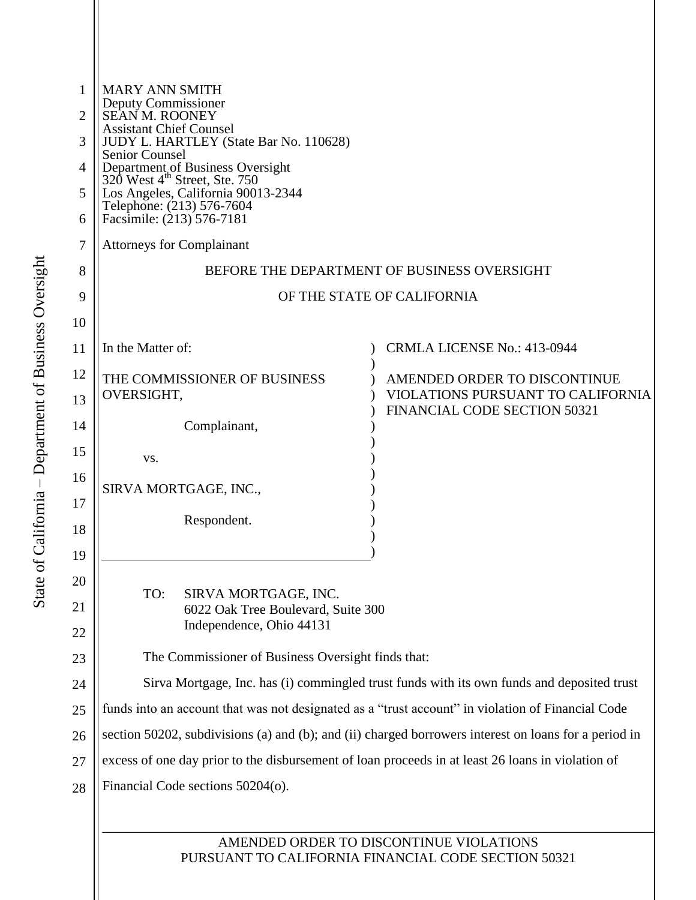| 1  | <b>MARY ANN SMITH</b><br>Deputy Commissioner<br><b>SEAN M. ROONEY</b><br><b>Assistant Chief Counsel</b><br>JUDY L. HARTLEY (State Bar No. 110628) |                                                                          |  |
|----|---------------------------------------------------------------------------------------------------------------------------------------------------|--------------------------------------------------------------------------|--|
| 2  |                                                                                                                                                   |                                                                          |  |
| 3  |                                                                                                                                                   |                                                                          |  |
| 4  | <b>Senior Counsel</b><br>Department of Business Oversight<br>320 West 4 <sup>th</sup> Street, Ste. 750                                            |                                                                          |  |
| 5  | Los Angeles, California 90013-2344                                                                                                                |                                                                          |  |
| 6  | Telephone: (213) 576-7604<br>Facsimile: (213) 576-7181                                                                                            |                                                                          |  |
| 7  | <b>Attorneys for Complainant</b>                                                                                                                  |                                                                          |  |
| 8  | BEFORE THE DEPARTMENT OF BUSINESS OVERSIGHT                                                                                                       |                                                                          |  |
| 9  | OF THE STATE OF CALIFORNIA                                                                                                                        |                                                                          |  |
| 10 |                                                                                                                                                   |                                                                          |  |
| 11 | In the Matter of:                                                                                                                                 | <b>CRMLA LICENSE No.: 413-0944</b>                                       |  |
| 12 | THE COMMISSIONER OF BUSINESS                                                                                                                      | AMENDED ORDER TO DISCONTINUE                                             |  |
| 13 | OVERSIGHT,                                                                                                                                        | VIOLATIONS PURSUANT TO CALIFORNIA<br><b>FINANCIAL CODE SECTION 50321</b> |  |
| 14 | Complainant,                                                                                                                                      |                                                                          |  |
| 15 | VS.                                                                                                                                               |                                                                          |  |
| 16 | SIRVA MORTGAGE, INC.,                                                                                                                             |                                                                          |  |
| 17 | Respondent.                                                                                                                                       |                                                                          |  |
| 18 |                                                                                                                                                   |                                                                          |  |
| 19 |                                                                                                                                                   |                                                                          |  |
| 20 | TO:<br>SIRVA MORTGAGE, INC.                                                                                                                       |                                                                          |  |
| 21 | 6022 Oak Tree Boulevard, Suite 300<br>Independence, Ohio 44131                                                                                    |                                                                          |  |
| 22 |                                                                                                                                                   |                                                                          |  |
| 23 | The Commissioner of Business Oversight finds that:                                                                                                |                                                                          |  |
| 24 | Sirva Mortgage, Inc. has (i) commingled trust funds with its own funds and deposited trust                                                        |                                                                          |  |
| 25 | funds into an account that was not designated as a "trust account" in violation of Financial Code                                                 |                                                                          |  |
| 26 | section 50202, subdivisions (a) and (b); and (ii) charged borrowers interest on loans for a period in                                             |                                                                          |  |
| 27 | excess of one day prior to the disbursement of loan proceeds in at least 26 loans in violation of                                                 |                                                                          |  |
| 28 | Financial Code sections 50204(o).                                                                                                                 |                                                                          |  |
|    |                                                                                                                                                   |                                                                          |  |
|    |                                                                                                                                                   | AMENDED ORDER TO DISCONTINUE VIOLATIONS                                  |  |

PURSUANT TO CALIFORNIA FINANCIAL CODE SECTION 50321